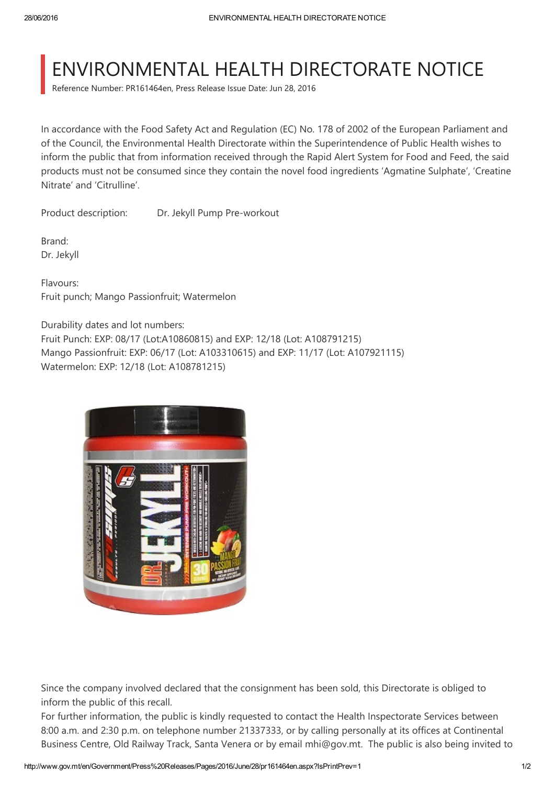## ENVIRONMENTAL HEALTH DIRECTORATE NOTICE

Reference Number: PR161464en, Press Release Issue Date: Jun 28, 2016

In accordance with the Food Safety Act and Regulation (EC) No. 178 of 2002 of the European Parliament and of the Council, the Environmental Health Directorate within the Superintendence of Public Health wishes to inform the public that from information received through the Rapid Alert System for Food and Feed, the said products must not be consumed since they contain the novel food ingredients 'Agmatine Sulphate', 'Creatine Nitrate' and 'Citrulline'.

Product description: Dr. Jekyll Pump Pre‐workout

Brand: Dr. Jekyll

Flavours: Fruit punch; Mango Passionfruit; Watermelon

Durability dates and lot numbers: Fruit Punch: EXP: 08/17 (Lot:A10860815) and EXP: 12/18 (Lot: A108791215) Mango Passionfruit: EXP: 06/17 (Lot: A103310615) and EXP: 11/17 (Lot: A107921115) Watermelon: EXP: 12/18 (Lot: A108781215)



Since the company involved declared that the consignment has been sold, this Directorate is obliged to inform the public of this recall.

For further information, the public is kindly requested to contact the Health Inspectorate Services between 8:00 a.m. and 2:30 p.m. on telephone number 21337333, or by calling personally at its offices at Continental Business Centre, Old Railway Track, Santa Venera or by email mhi@gov.mt. The public is also being invited to